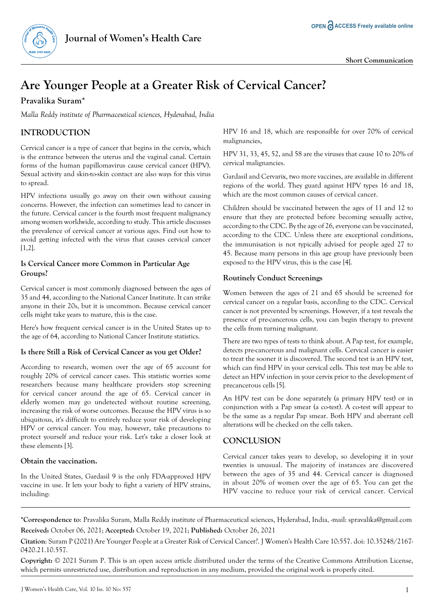

# **Are Younger People at a Greater Risk of Cervical Cancer?**

## **Pravalika Suram\***

*Malla Reddy institute of Pharmaceutical sciences, Hyderabad, India*

# **INTRODUCTION**

Cervical cancer is a type of cancer that begins in the cervix, which is the entrance between the uterus and the vaginal canal. Certain forms of the human papillomavirus cause cervical cancer (HPV). Sexual activity and skin-to-skin contact are also ways for this virus to spread.

HPV infections usually go away on their own without causing concerns. However, the infection can sometimes lead to cancer in the future. Cervical cancer is the fourth most frequent malignancy among women worldwide, according to study. This article discusses the prevalence of cervical cancer at various ages. Find out how to avoid getting infected with the virus that causes cervical cancer [1,2].

#### **Is Cervical Cancer more Common in Particular Age Groups?**

Cervical cancer is most commonly diagnosed between the ages of 35 and 44, according to the National Cancer Institute. It can strike anyone in their 20s, but it is uncommon. Because cervical cancer cells might take years to mature, this is the case.

Here's how frequent cervical cancer is in the United States up to the age of 64, according to National Cancer Institute statistics.

#### **Is there Still a Risk of Cervical Cancer as you get Older?**

According to research, women over the age of 65 account for roughly 20% of cervical cancer cases. This statistic worries some researchers because many healthcare providers stop screening for cervical cancer around the age of 65. Cervical cancer in elderly women may go undetected without routine screening, increasing the risk of worse outcomes. Because the HPV virus is so ubiquitous, it's difficult to entirely reduce your risk of developing HPV or cervical cancer. You may, however, take precautions to protect yourself and reduce your risk. Let's take a closer look at these elements [3].

#### **Obtain the vaccination.**

In the United States, Gardasil 9 is the only FDA-approved HPV vaccine in use. It lets your body to fight a variety of HPV strains, including:

HPV 16 and 18, which are responsible for over 70% of cervical malignancies,

HPV 31, 33, 45, 52, and 58 are the viruses that cause 10 to 20% of cervical malignancies.

Gardasil and Cervarix, two more vaccines, are available in different regions of the world. They guard against HPV types 16 and 18, which are the most common causes of cervical cancer.

Children should be vaccinated between the ages of 11 and 12 to ensure that they are protected before becoming sexually active, according to the CDC. By the age of 26, everyone can be vaccinated, according to the CDC. Unless there are exceptional conditions, the immunisation is not typically advised for people aged 27 to 45. Because many persons in this age group have previously been exposed to the HPV virus, this is the case [4].

#### **Routinely Conduct Screenings**

Women between the ages of 21 and 65 should be screened for cervical cancer on a regular basis, according to the CDC. Cervical cancer is not prevented by screenings. However, if a test reveals the presence of pre-cancerous cells, you can begin therapy to prevent the cells from turning malignant.

There are two types of tests to think about. A Pap test, for example, detects pre-cancerous and malignant cells. Cervical cancer is easier to treat the sooner it is discovered. The second test is an HPV test, which can find HPV in your cervical cells. This test may be able to detect an HPV infection in your cervix prior to the development of precancerous cells [5].

An HPV test can be done separately (a primary HPV test) or in conjunction with a Pap smear (a co-test). A co-test will appear to be the same as a regular Pap smear. Both HPV and aberrant cell alterations will be checked on the cells taken.

### **CONCLUSION**

Cervical cancer takes years to develop, so developing it in your twenties is unusual. The majority of instances are discovered between the ages of 35 and 44. Cervical cancer is diagnosed in about 20% of women over the age of 65. You can get the HPV vaccine to reduce your risk of cervical cancer. Cervical

**\*Correspondence to**: Pravalika Suram, Malla Reddy institute of Pharmaceutical sciences, Hyderabad, India, -mail: [spravalika@gmail.com](mailto:spravalika@gmail.com) **Received:** October 06, 2021; **Accepted:** October 19, 2021; **Published:** October 26, 2021

**Citation**: Suram P (2021) Are Younger People at a Greater Risk of Cervical Cancer?. J Women's Health Care 10:557. doi: 10.35248/2167- 0420.21.10.557.

**Copyright:** © 2021 Suram P. This is an open access article distributed under the terms of the Creative Commons Attribution License, which permits unrestricted use, distribution and reproduction in any medium, provided the original work is properly cited.